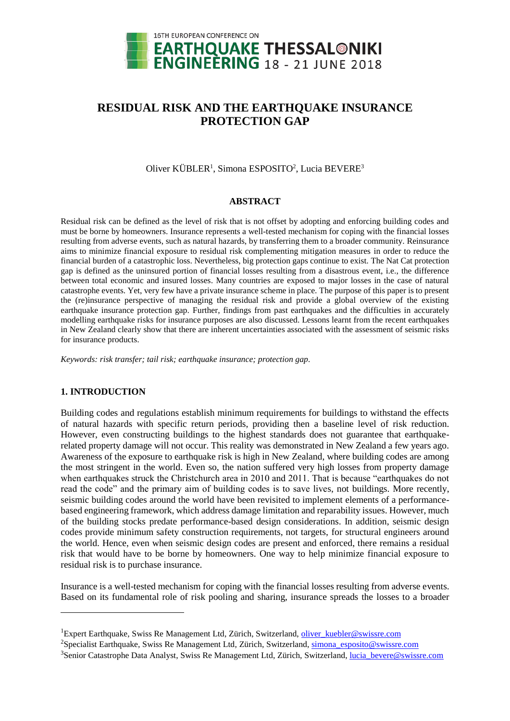

# **RESIDUAL RISK AND THE EARTHQUAKE INSURANCE PROTECTION GAP**

# Oliver KÜBLER<sup>1</sup>, Simona ESPOSITO<sup>2</sup>, Lucia BEVERE<sup>3</sup>

#### **ABSTRACT**

Residual risk can be defined as the level of risk that is not offset by adopting and enforcing building codes and must be borne by homeowners. Insurance represents a well-tested mechanism for coping with the financial losses resulting from adverse events, such as natural hazards, by transferring them to a broader community. Reinsurance aims to minimize financial exposure to residual risk complementing mitigation measures in order to reduce the financial burden of a catastrophic loss. Nevertheless, big protection gaps continue to exist. The Nat Cat protection gap is defined as the uninsured portion of financial losses resulting from a disastrous event, i.e., the difference between total economic and insured losses. Many countries are exposed to major losses in the case of natural catastrophe events. Yet, very few have a private insurance scheme in place. The purpose of this paper is to present the (re)insurance perspective of managing the residual risk and provide a global overview of the existing earthquake insurance protection gap. Further, findings from past earthquakes and the difficulties in accurately modelling earthquake risks for insurance purposes are also discussed. Lessons learnt from the recent earthquakes in New Zealand clearly show that there are inherent uncertainties associated with the assessment of seismic risks for insurance products.

*Keywords: risk transfer; tail risk; earthquake insurance; protection gap.*

## **1. INTRODUCTION**

l

Building codes and regulations establish minimum requirements for buildings to withstand the effects of natural hazards with specific return periods, providing then a baseline level of risk reduction. However, even constructing buildings to the highest standards does not guarantee that earthquakerelated property damage will not occur. This reality was demonstrated in New Zealand a few years ago. Awareness of the exposure to earthquake risk is high in New Zealand, where building codes are among the most stringent in the world. Even so, the nation suffered very high losses from property damage when earthquakes struck the Christchurch area in 2010 and 2011. That is because "earthquakes do not read the code" and the primary aim of building codes is to save lives, not buildings. More recently, seismic building codes around the world have been revisited to implement elements of a performancebased engineering framework, which address damage limitation and reparability issues. However, much of the building stocks predate performance-based design considerations. In addition, seismic design codes provide minimum safety construction requirements, not targets, for structural engineers around the world. Hence, even when seismic design codes are present and enforced, there remains a residual risk that would have to be borne by homeowners. One way to help minimize financial exposure to residual risk is to purchase insurance.

Insurance is a well-tested mechanism for coping with the financial losses resulting from adverse events. Based on its fundamental role of risk pooling and sharing, insurance spreads the losses to a broader

<sup>&</sup>lt;sup>1</sup>Expert Earthquake, Swiss Re Management Ltd, Zürich, Switzerland, oliver kuebler@swissre.com

<sup>&</sup>lt;sup>2</sup>Specialist Earthquake, Swiss Re Management Ltd, Zürich, Switzerland, [simona\\_esposito@swissre.com](mailto:simona_esposito@swissre.com)

<sup>&</sup>lt;sup>3</sup>Senior Catastrophe Data Analyst, Swiss Re Management Ltd, Zürich, Switzerland, [lucia\\_bevere@swissre.com](mailto:lucia_bevere@swissre.com)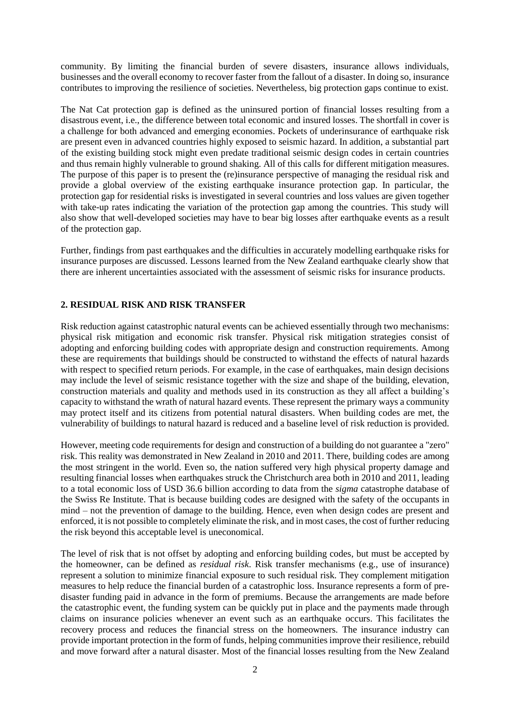community. By limiting the financial burden of severe disasters, insurance allows individuals, businesses and the overall economy to recover faster from the fallout of a disaster. In doing so, insurance contributes to improving the resilience of societies. Nevertheless, big protection gaps continue to exist.

The Nat Cat protection gap is defined as the uninsured portion of financial losses resulting from a disastrous event, i.e., the difference between total economic and insured losses. The shortfall in cover is a challenge for both advanced and emerging economies. Pockets of underinsurance of earthquake risk are present even in advanced countries highly exposed to seismic hazard. In addition, a substantial part of the existing building stock might even predate traditional seismic design codes in certain countries and thus remain highly vulnerable to ground shaking. All of this calls for different mitigation measures. The purpose of this paper is to present the (re)insurance perspective of managing the residual risk and provide a global overview of the existing earthquake insurance protection gap. In particular, the protection gap for residential risks is investigated in several countries and loss values are given together with take-up rates indicating the variation of the protection gap among the countries. This study will also show that well-developed societies may have to bear big losses after earthquake events as a result of the protection gap.

Further, findings from past earthquakes and the difficulties in accurately modelling earthquake risks for insurance purposes are discussed. Lessons learned from the New Zealand earthquake clearly show that there are inherent uncertainties associated with the assessment of seismic risks for insurance products.

# **2. RESIDUAL RISK AND RISK TRANSFER**

Risk reduction against catastrophic natural events can be achieved essentially through two mechanisms: physical risk mitigation and economic risk transfer. Physical risk mitigation strategies consist of adopting and enforcing building codes with appropriate design and construction requirements. Among these are requirements that buildings should be constructed to withstand the effects of natural hazards with respect to specified return periods. For example, in the case of earthquakes, main design decisions may include the level of seismic resistance together with the size and shape of the building, elevation, construction materials and quality and methods used in its construction as they all affect a building's capacity to withstand the wrath of natural hazard events. These represent the primary ways a community may protect itself and its citizens from potential natural disasters. When building codes are met, the vulnerability of buildings to natural hazard is reduced and a baseline level of risk reduction is provided.

However, meeting code requirements for design and construction of a building do not guarantee a "zero" risk. This reality was demonstrated in New Zealand in 2010 and 2011. There, building codes are among the most stringent in the world. Even so, the nation suffered very high physical property damage and resulting financial losses when earthquakes struck the Christchurch area both in 2010 and 2011, leading to a total economic loss of USD 36.6 billion according to data from the *sigma* catastrophe database of the Swiss Re Institute. That is because building codes are designed with the safety of the occupants in mind – not the prevention of damage to the building. Hence, even when design codes are present and enforced, it is not possible to completely eliminate the risk, and in most cases, the cost of further reducing the risk beyond this acceptable level is uneconomical.

The level of risk that is not offset by adopting and enforcing building codes, but must be accepted by the homeowner, can be defined as *residual risk*. Risk transfer mechanisms (e.g., use of insurance) represent a solution to minimize financial exposure to such residual risk. They complement mitigation measures to help reduce the financial burden of a catastrophic loss. Insurance represents a form of predisaster funding paid in advance in the form of premiums. Because the arrangements are made before the catastrophic event, the funding system can be quickly put in place and the payments made through claims on insurance policies whenever an event such as an earthquake occurs. This facilitates the recovery process and reduces the financial stress on the homeowners. The insurance industry can provide important protection in the form of funds, helping communities improve their resilience, rebuild and move forward after a natural disaster. Most of the financial losses resulting from the New Zealand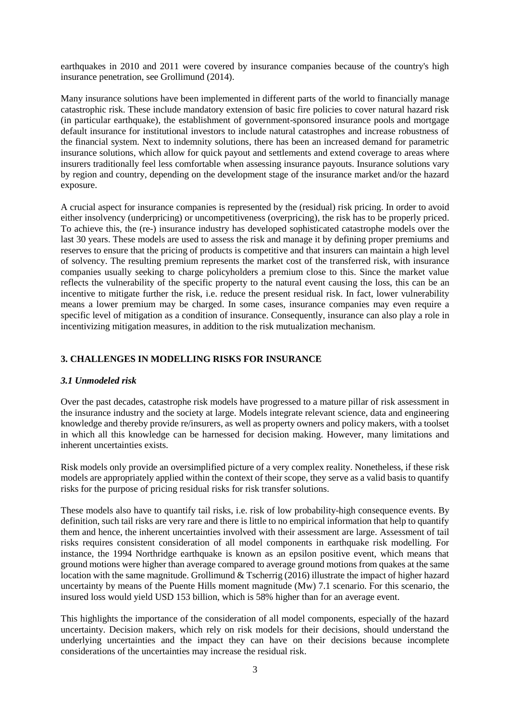earthquakes in 2010 and 2011 were covered by insurance companies because of the country's high insurance penetration, see Grollimund (2014).

Many insurance solutions have been implemented in different parts of the world to financially manage catastrophic risk. These include mandatory extension of basic fire policies to cover natural hazard risk (in particular earthquake), the establishment of government-sponsored insurance pools and mortgage default insurance for institutional investors to include natural catastrophes and increase robustness of the financial system. Next to indemnity solutions, there has been an increased demand for parametric insurance solutions, which allow for quick payout and settlements and extend coverage to areas where insurers traditionally feel less comfortable when assessing insurance payouts. Insurance solutions vary by region and country, depending on the development stage of the insurance market and/or the hazard exposure.

A crucial aspect for insurance companies is represented by the (residual) risk pricing. In order to avoid either insolvency (underpricing) or uncompetitiveness (overpricing), the risk has to be properly priced. To achieve this, the (re-) insurance industry has developed sophisticated catastrophe models over the last 30 years. These models are used to assess the risk and manage it by defining proper premiums and reserves to ensure that the pricing of products is competitive and that insurers can maintain a high level of solvency. The resulting premium represents the market cost of the transferred risk, with insurance companies usually seeking to charge policyholders a premium close to this. Since the market value reflects the vulnerability of the specific property to the natural event causing the loss, this can be an incentive to mitigate further the risk, i.e. reduce the present residual risk. In fact, lower vulnerability means a lower premium may be charged. In some cases, insurance companies may even require a specific level of mitigation as a condition of insurance. Consequently, insurance can also play a role in incentivizing mitigation measures, in addition to the risk mutualization mechanism.

# **3. CHALLENGES IN MODELLING RISKS FOR INSURANCE**

## *3.1 Unmodeled risk*

Over the past decades, catastrophe risk models have progressed to a mature pillar of risk assessment in the insurance industry and the society at large. Models integrate relevant science, data and engineering knowledge and thereby provide re/insurers, as well as property owners and policy makers, with a toolset in which all this knowledge can be harnessed for decision making. However, many limitations and inherent uncertainties exists.

Risk models only provide an oversimplified picture of a very complex reality. Nonetheless, if these risk models are appropriately applied within the context of their scope, they serve as a valid basis to quantify risks for the purpose of pricing residual risks for risk transfer solutions.

These models also have to quantify tail risks, i.e. risk of low probability-high consequence events. By definition, such tail risks are very rare and there is little to no empirical information that help to quantify them and hence, the inherent uncertainties involved with their assessment are large. Assessment of tail risks requires consistent consideration of all model components in earthquake risk modelling. For instance, the 1994 Northridge earthquake is known as an epsilon positive event, which means that ground motions were higher than average compared to average ground motions from quakes at the same location with the same magnitude. Grollimund & Tscherrig (2016) illustrate the impact of higher hazard uncertainty by means of the Puente Hills moment magnitude (Mw) 7.1 scenario. For this scenario, the insured loss would yield USD 153 billion, which is 58% higher than for an average event.

This highlights the importance of the consideration of all model components, especially of the hazard uncertainty. Decision makers, which rely on risk models for their decisions, should understand the underlying uncertainties and the impact they can have on their decisions because incomplete considerations of the uncertainties may increase the residual risk.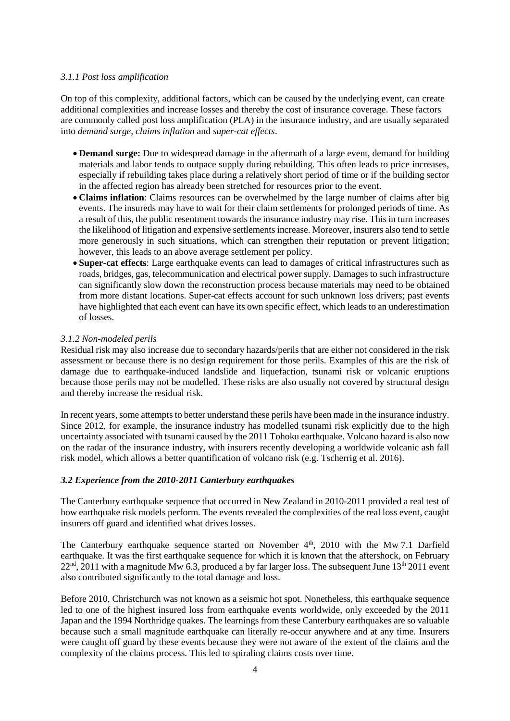## *3.1.1 Post loss amplification*

On top of this complexity, additional factors, which can be caused by the underlying event, can create additional complexities and increase losses and thereby the cost of insurance coverage. These factors are commonly called post loss amplification (PLA) in the insurance industry, and are usually separated into *demand surge*, *claims inflation* and *super-cat effects*.

- **Demand surge:** Due to widespread damage in the aftermath of a large event, demand for building materials and labor tends to outpace supply during rebuilding. This often leads to price increases, especially if rebuilding takes place during a relatively short period of time or if the building sector in the affected region has already been stretched for resources prior to the event.
- **Claims inflation**: Claims resources can be overwhelmed by the large number of claims after big events. The insureds may have to wait for their claim settlements for prolonged periods of time. As a result of this, the public resentment towards the insurance industry may rise. This in turn increases the likelihood of litigation and expensive settlements increase. Moreover, insurers also tend to settle more generously in such situations, which can strengthen their reputation or prevent litigation; however, this leads to an above average settlement per policy.
- **Super-cat effects**: Large earthquake events can lead to damages of critical infrastructures such as roads, bridges, gas, telecommunication and electrical power supply. Damages to such infrastructure can significantly slow down the reconstruction process because materials may need to be obtained from more distant locations. Super-cat effects account for such unknown loss drivers; past events have highlighted that each event can have its own specific effect, which leads to an underestimation of losses.

#### *3.1.2 Non-modeled perils*

Residual risk may also increase due to secondary hazards/perils that are either not considered in the risk assessment or because there is no design requirement for those perils. Examples of this are the risk of damage due to earthquake-induced landslide and liquefaction, tsunami risk or volcanic eruptions because those perils may not be modelled. These risks are also usually not covered by structural design and thereby increase the residual risk.

In recent years, some attempts to better understand these perils have been made in the insurance industry. Since 2012, for example, the insurance industry has modelled tsunami risk explicitly due to the high uncertainty associated with tsunami caused by the 2011 Tohoku earthquake. Volcano hazard is also now on the radar of the insurance industry, with insurers recently developing a worldwide volcanic ash fall risk model, which allows a better quantification of volcano risk (e.g. Tscherrig et al. 2016).

## *3.2 Experience from the 2010-2011 Canterbury earthquakes*

The Canterbury earthquake sequence that occurred in New Zealand in 2010-2011 provided a real test of how earthquake risk models perform. The events revealed the complexities of the real loss event, caught insurers off guard and identified what drives losses.

The Canterbury earthquake sequence started on November 4<sup>th</sup>, 2010 with the Mw 7.1 Darfield earthquake. It was the first earthquake sequence for which it is known that the aftershock, on February  $22<sup>nd</sup>$ , 2011 with a magnitude Mw 6.3, produced a by far larger loss. The subsequent June 13<sup>th</sup> 2011 event also contributed significantly to the total damage and loss.

Before 2010, Christchurch was not known as a seismic hot spot. Nonetheless, this earthquake sequence led to one of the highest insured loss from earthquake events worldwide, only exceeded by the 2011 Japan and the 1994 Northridge quakes. The learnings from these Canterbury earthquakes are so valuable because such a small magnitude earthquake can literally re-occur anywhere and at any time. Insurers were caught off guard by these events because they were not aware of the extent of the claims and the complexity of the claims process. This led to spiraling claims costs over time.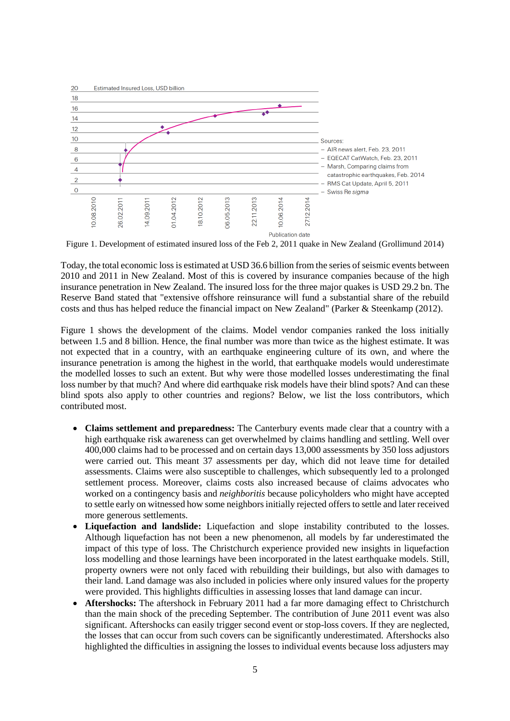

Figure 1. Development of estimated insured loss of the Feb 2, 2011 quake in New Zealand (Grollimund 2014)

Today, the total economic loss is estimated at USD 36.6 billion from the series of seismic events between 2010 and 2011 in New Zealand. Most of this is covered by insurance companies because of the high insurance penetration in New Zealand. The insured loss for the three major quakes is USD 29.2 bn. The Reserve Band stated that "extensive offshore reinsurance will fund a substantial share of the rebuild costs and thus has helped reduce the financial impact on New Zealand" (Parker & Steenkamp (2012).

Figure 1 shows the development of the claims. Model vendor companies ranked the loss initially between 1.5 and 8 billion. Hence, the final number was more than twice as the highest estimate. It was not expected that in a country, with an earthquake engineering culture of its own, and where the insurance penetration is among the highest in the world, that earthquake models would underestimate the modelled losses to such an extent. But why were those modelled losses underestimating the final loss number by that much? And where did earthquake risk models have their blind spots? And can these blind spots also apply to other countries and regions? Below, we list the loss contributors, which contributed most.

- **Claims settlement and preparedness:** The Canterbury events made clear that a country with a high earthquake risk awareness can get overwhelmed by claims handling and settling. Well over 400,000 claims had to be processed and on certain days 13,000 assessments by 350 loss adjustors were carried out. This meant 37 assessments per day, which did not leave time for detailed assessments. Claims were also susceptible to challenges, which subsequently led to a prolonged settlement process. Moreover, claims costs also increased because of claims advocates who worked on a contingency basis and *neighboritis* because policyholders who might have accepted to settle early on witnessed how some neighbors initially rejected offers to settle and later received more generous settlements.
- **Liquefaction and landslide:** Liquefaction and slope instability contributed to the losses. Although liquefaction has not been a new phenomenon, all models by far underestimated the impact of this type of loss. The Christchurch experience provided new insights in liquefaction loss modelling and those learnings have been incorporated in the latest earthquake models. Still, property owners were not only faced with rebuilding their buildings, but also with damages to their land. Land damage was also included in policies where only insured values for the property were provided. This highlights difficulties in assessing losses that land damage can incur.
- **Aftershocks:** The aftershock in February 2011 had a far more damaging effect to Christchurch than the main shock of the preceding September. The contribution of June 2011 event was also significant. Aftershocks can easily trigger second event or stop-loss covers. If they are neglected, the losses that can occur from such covers can be significantly underestimated. Aftershocks also highlighted the difficulties in assigning the losses to individual events because loss adjusters may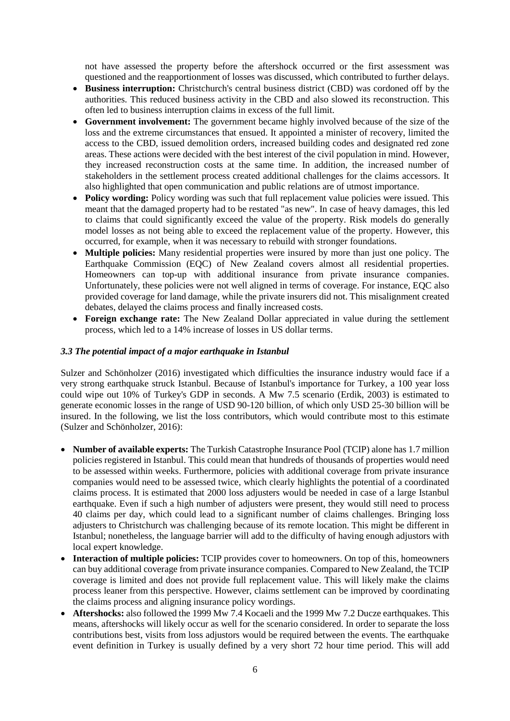not have assessed the property before the aftershock occurred or the first assessment was questioned and the reapportionment of losses was discussed, which contributed to further delays.

- **Business interruption:** Christchurch's central business district (CBD) was cordoned off by the authorities. This reduced business activity in the CBD and also slowed its reconstruction. This often led to business interruption claims in excess of the full limit.
- **Government involvement:** The government became highly involved because of the size of the loss and the extreme circumstances that ensued. It appointed a minister of recovery, limited the access to the CBD, issued demolition orders, increased building codes and designated red zone areas. These actions were decided with the best interest of the civil population in mind. However, they increased reconstruction costs at the same time. In addition, the increased number of stakeholders in the settlement process created additional challenges for the claims accessors. It also highlighted that open communication and public relations are of utmost importance.
- **Policy wording:** Policy wording was such that full replacement value policies were issued. This meant that the damaged property had to be restated "as new". In case of heavy damages, this led to claims that could significantly exceed the value of the property. Risk models do generally model losses as not being able to exceed the replacement value of the property. However, this occurred, for example, when it was necessary to rebuild with stronger foundations.
- **Multiple policies:** Many residential properties were insured by more than just one policy. The Earthquake Commission (EQC) of New Zealand covers almost all residential properties. Homeowners can top-up with additional insurance from private insurance companies. Unfortunately, these policies were not well aligned in terms of coverage. For instance, EQC also provided coverage for land damage, while the private insurers did not. This misalignment created debates, delayed the claims process and finally increased costs.
- **Foreign exchange rate:** The New Zealand Dollar appreciated in value during the settlement process, which led to a 14% increase of losses in US dollar terms.

## *3.3 The potential impact of a major earthquake in Istanbul*

Sulzer and Schönholzer (2016) investigated which difficulties the insurance industry would face if a very strong earthquake struck Istanbul. Because of Istanbul's importance for Turkey, a 100 year loss could wipe out 10% of Turkey's GDP in seconds. A Mw 7.5 scenario (Erdik, 2003) is estimated to generate economic losses in the range of USD 90-120 billion, of which only USD 25-30 billion will be insured. In the following, we list the loss contributors, which would contribute most to this estimate (Sulzer and Schönholzer, 2016):

- **Number of available experts:** The Turkish Catastrophe Insurance Pool (TCIP) alone has 1.7 million policies registered in Istanbul. This could mean that hundreds of thousands of properties would need to be assessed within weeks. Furthermore, policies with additional coverage from private insurance companies would need to be assessed twice, which clearly highlights the potential of a coordinated claims process. It is estimated that 2000 loss adjusters would be needed in case of a large Istanbul earthquake. Even if such a high number of adjusters were present, they would still need to process 40 claims per day, which could lead to a significant number of claims challenges. Bringing loss adjusters to Christchurch was challenging because of its remote location. This might be different in Istanbul; nonetheless, the language barrier will add to the difficulty of having enough adjustors with local expert knowledge.
- **Interaction of multiple policies:** TCIP provides cover to homeowners. On top of this, homeowners can buy additional coverage from private insurance companies. Compared to New Zealand, the TCIP coverage is limited and does not provide full replacement value. This will likely make the claims process leaner from this perspective. However, claims settlement can be improved by coordinating the claims process and aligning insurance policy wordings.
- **Aftershocks:** also followed the 1999 Mw 7.4 Kocaeli and the 1999 Mw 7.2 Ducze earthquakes. This means, aftershocks will likely occur as well for the scenario considered. In order to separate the loss contributions best, visits from loss adjustors would be required between the events. The earthquake event definition in Turkey is usually defined by a very short 72 hour time period. This will add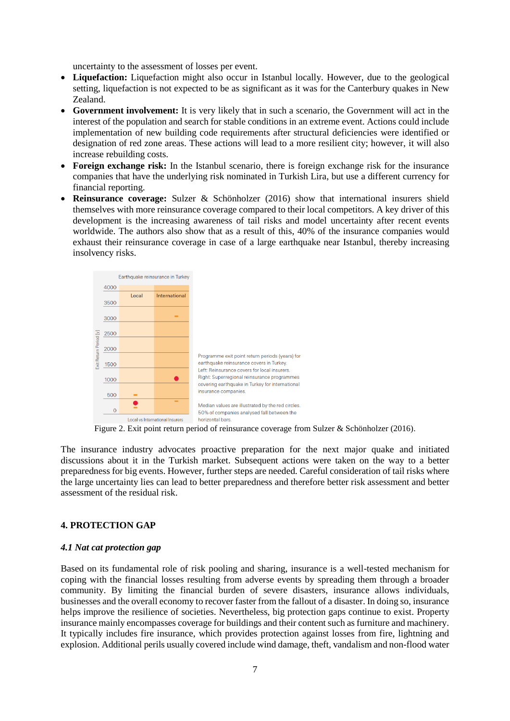uncertainty to the assessment of losses per event.

- **Liquefaction:** Liquefaction might also occur in Istanbul locally. However, due to the geological setting, liquefaction is not expected to be as significant as it was for the Canterbury quakes in New Zealand.
- **Government involvement:** It is very likely that in such a scenario, the Government will act in the interest of the population and search for stable conditions in an extreme event. Actions could include implementation of new building code requirements after structural deficiencies were identified or designation of red zone areas. These actions will lead to a more resilient city; however, it will also increase rebuilding costs.
- **Foreign exchange risk:** In the Istanbul scenario, there is foreign exchange risk for the insurance companies that have the underlying risk nominated in Turkish Lira, but use a different currency for financial reporting.
- **Reinsurance coverage:** Sulzer & Schönholzer (2016) show that international insurers shield themselves with more reinsurance coverage compared to their local competitors. A key driver of this development is the increasing awareness of tail risks and model uncertainty after recent events worldwide. The authors also show that as a result of this, 40% of the insurance companies would exhaust their reinsurance coverage in case of a large earthquake near Istanbul, thereby increasing insolvency risks.



Figure 2. Exit point return period of reinsurance coverage from Sulzer & Schönholzer (2016).

The insurance industry advocates proactive preparation for the next major quake and initiated discussions about it in the Turkish market. Subsequent actions were taken on the way to a better preparedness for big events. However, further steps are needed. Careful consideration of tail risks where the large uncertainty lies can lead to better preparedness and therefore better risk assessment and better assessment of the residual risk.

# **4. PROTECTION GAP**

#### *4.1 Nat cat protection gap*

Based on its fundamental role of risk pooling and sharing, insurance is a well-tested mechanism for coping with the financial losses resulting from adverse events by spreading them through a broader community. By limiting the financial burden of severe disasters, insurance allows individuals, businesses and the overall economy to recover faster from the fallout of a disaster. In doing so, insurance helps improve the resilience of societies. Nevertheless, big protection gaps continue to exist. Property insurance mainly encompasses coverage for buildings and their content such as furniture and machinery. It typically includes fire insurance, which provides protection against losses from fire, lightning and explosion. Additional perils usually covered include wind damage, theft, vandalism and non-flood water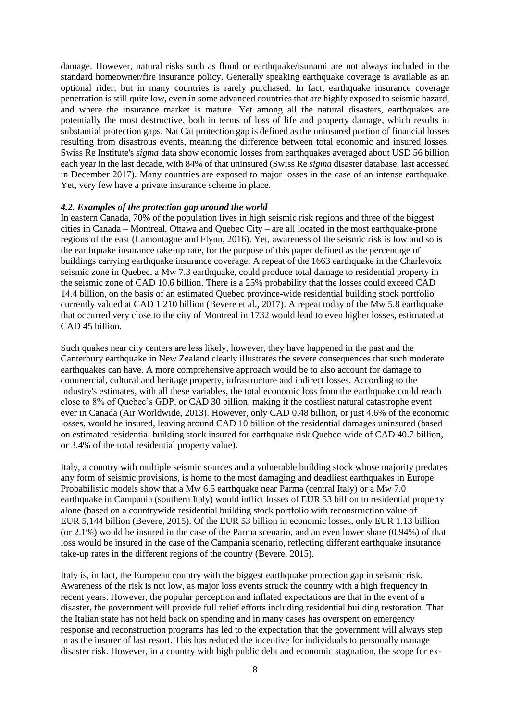damage. However, natural risks such as flood or earthquake/tsunami are not always included in the standard homeowner/fire insurance policy. Generally speaking earthquake coverage is available as an optional rider, but in many countries is rarely purchased. In fact, earthquake insurance coverage penetration is still quite low, even in some advanced countries that are highly exposed to seismic hazard, and where the insurance market is mature. Yet among all the natural disasters, earthquakes are potentially the most destructive, both in terms of loss of life and property damage, which results in substantial protection gaps. Nat Cat protection gap is defined as the uninsured portion of financial losses resulting from disastrous events, meaning the difference between total economic and insured losses. Swiss Re Institute's *sigma* data show economic losses from earthquakes averaged about USD 56 billion each year in the last decade, with 84% of that uninsured (Swiss Re *sigma* disaster database, last accessed in December 2017). Many countries are exposed to major losses in the case of an intense earthquake. Yet, very few have a private insurance scheme in place.

#### *4.2. Examples of the protection gap around the world*

In eastern Canada, 70% of the population lives in high seismic risk regions and three of the biggest cities in Canada – Montreal, Ottawa and Quebec City – are all located in the most earthquake-prone regions of the east (Lamontagne and Flynn, 2016). Yet, awareness of the seismic risk is low and so is the earthquake insurance take-up rate, for the purpose of this paper defined as the percentage of buildings carrying earthquake insurance coverage. A repeat of the 1663 earthquake in the Charlevoix seismic zone in Quebec, a Mw 7.3 earthquake, could produce total damage to residential property in the seismic zone of CAD 10.6 billion. There is a 25% probability that the losses could exceed CAD 14.4 billion, on the basis of an estimated Quebec province-wide residential building stock portfolio currently valued at CAD 1 210 billion (Bevere et al., 2017). A repeat today of the Mw 5.8 earthquake that occurred very close to the city of Montreal in 1732 would lead to even higher losses, estimated at CAD 45 billion.

Such quakes near city centers are less likely, however, they have happened in the past and the Canterbury earthquake in New Zealand clearly illustrates the severe consequences that such moderate earthquakes can have. A more comprehensive approach would be to also account for damage to commercial, cultural and heritage property, infrastructure and indirect losses. According to the industry's estimates, with all these variables, the total economic loss from the earthquake could reach close to 8% of Quebec's GDP, or CAD 30 billion, making it the costliest natural catastrophe event ever in Canada (Air Worldwide, 2013). However, only CAD 0.48 billion, or just 4.6% of the economic losses, would be insured, leaving around CAD 10 billion of the residential damages uninsured (based on estimated residential building stock insured for earthquake risk Quebec-wide of CAD 40.7 billion, or 3.4% of the total residential property value).

Italy, a country with multiple seismic sources and a vulnerable building stock whose majority predates any form of seismic provisions, is home to the most damaging and deadliest earthquakes in Europe. Probabilistic models show that a Mw 6.5 earthquake near Parma (central Italy) or a Mw 7.0 earthquake in Campania (southern Italy) would inflict losses of EUR 53 billion to residential property alone (based on a countrywide residential building stock portfolio with reconstruction value of EUR 5,144 billion (Bevere, 2015). Of the EUR 53 billion in economic losses, only EUR 1.13 billion (or 2.1%) would be insured in the case of the Parma scenario, and an even lower share (0.94%) of that loss would be insured in the case of the Campania scenario, reflecting different earthquake insurance take-up rates in the different regions of the country (Bevere, 2015).

Italy is, in fact, the European country with the biggest earthquake protection gap in seismic risk. Awareness of the risk is not low, as major loss events struck the country with a high frequency in recent years. However, the popular perception and inflated expectations are that in the event of a disaster, the government will provide full relief efforts including residential building restoration. That the Italian state has not held back on spending and in many cases has overspent on emergency response and reconstruction programs has led to the expectation that the government will always step in as the insurer of last resort. This has reduced the incentive for individuals to personally manage disaster risk. However, in a country with high public debt and economic stagnation, the scope for ex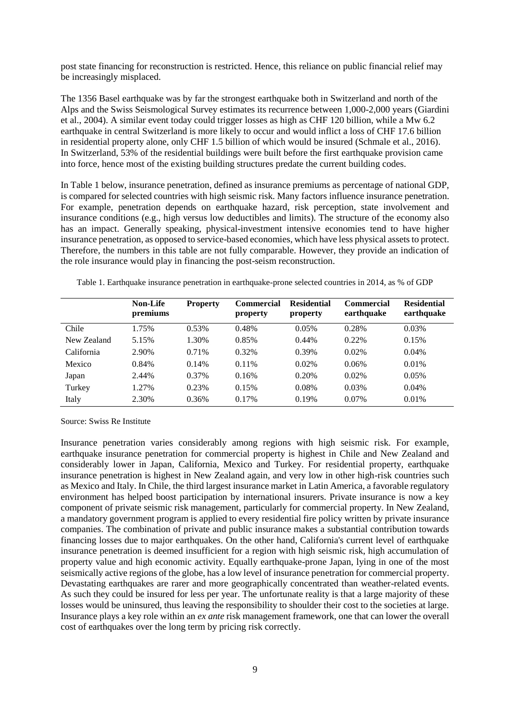post state financing for reconstruction is restricted. Hence, this reliance on public financial relief may be increasingly misplaced.

The 1356 Basel earthquake was by far the strongest earthquake both in Switzerland and north of the Alps and the Swiss Seismological Survey estimates its recurrence between 1,000-2,000 years (Giardini et al., 2004). A similar event today could trigger losses as high as CHF 120 billion, while a Mw 6.2 earthquake in central Switzerland is more likely to occur and would inflict a loss of CHF 17.6 billion in residential property alone, only CHF 1.5 billion of which would be insured (Schmale et al., 2016). In Switzerland, 53% of the residential buildings were built before the first earthquake provision came into force, hence most of the existing building structures predate the current building codes.

In Table 1 below, insurance penetration, defined as insurance premiums as percentage of national GDP, is compared for selected countries with high seismic risk. Many factors influence insurance penetration. For example, penetration depends on earthquake hazard, risk perception, state involvement and insurance conditions (e.g., high versus low deductibles and limits). The structure of the economy also has an impact. Generally speaking, physical-investment intensive economies tend to have higher insurance penetration, as opposed to service-based economies, which have less physical assets to protect. Therefore, the numbers in this table are not fully comparable. However, they provide an indication of the role insurance would play in financing the post-seism reconstruction.

|             | <b>Non-Life</b><br>premiums | <b>Property</b> | <b>Commercial</b><br>property | <b>Residential</b><br>property | <b>Commercial</b><br>earthquake | <b>Residential</b><br>earthquake |
|-------------|-----------------------------|-----------------|-------------------------------|--------------------------------|---------------------------------|----------------------------------|
| Chile       | 1.75%                       | 0.53%           | 0.48%                         | 0.05%                          | 0.28%                           | 0.03%                            |
| New Zealand | 5.15%                       | 1.30%           | 0.85%                         | $0.44\%$                       | 0.22%                           | 0.15%                            |
| California  | 2.90%                       | 0.71%           | 0.32%                         | 0.39%                          | 0.02%                           | $0.04\%$                         |
| Mexico      | 0.84%                       | 0.14%           | $0.11\%$                      | 0.02%                          | 0.06%                           | 0.01%                            |
| Japan       | 2.44%                       | $0.37\%$        | 0.16%                         | 0.20%                          | 0.02%                           | 0.05%                            |
| Turkey      | 1.27%                       | 0.23%           | 0.15%                         | 0.08%                          | 0.03%                           | $0.04\%$                         |
| Italy       | 2.30%                       | 0.36%           | 0.17%                         | 0.19%                          | 0.07%                           | 0.01%                            |

Table 1. Earthquake insurance penetration in earthquake-prone selected countries in 2014, as % of GDP

Source: Swiss Re Institute

Insurance penetration varies considerably among regions with high seismic risk. For example, earthquake insurance penetration for commercial property is highest in Chile and New Zealand and considerably lower in Japan, California, Mexico and Turkey. For residential property, earthquake insurance penetration is highest in New Zealand again, and very low in other high-risk countries such as Mexico and Italy. In Chile, the third largest insurance market in Latin America, a favorable regulatory environment has helped boost participation by international insurers. Private insurance is now a key component of private seismic risk management, particularly for commercial property. In New Zealand, a mandatory government program is applied to every residential fire policy written by private insurance companies. The combination of private and public insurance makes a substantial contribution towards financing losses due to major earthquakes. On the other hand, California's current level of earthquake insurance penetration is deemed insufficient for a region with high seismic risk, high accumulation of property value and high economic activity. Equally earthquake-prone Japan, lying in one of the most seismically active regions of the globe, has a low level of insurance penetration for commercial property. Devastating earthquakes are rarer and more geographically concentrated than weather-related events. As such they could be insured for less per year. The unfortunate reality is that a large majority of these losses would be uninsured, thus leaving the responsibility to shoulder their cost to the societies at large. Insurance plays a key role within an *ex ante* risk management framework, one that can lower the overall cost of earthquakes over the long term by pricing risk correctly.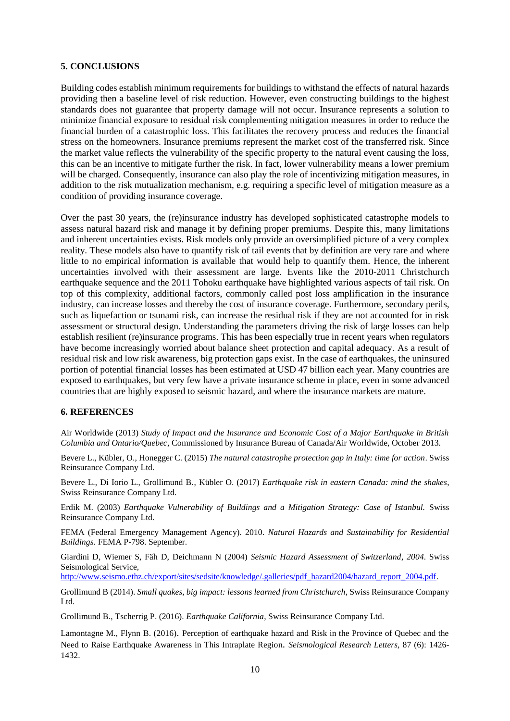## **5. CONCLUSIONS**

Building codes establish minimum requirements for buildings to withstand the effects of natural hazards providing then a baseline level of risk reduction. However, even constructing buildings to the highest standards does not guarantee that property damage will not occur. Insurance represents a solution to minimize financial exposure to residual risk complementing mitigation measures in order to reduce the financial burden of a catastrophic loss. This facilitates the recovery process and reduces the financial stress on the homeowners. Insurance premiums represent the market cost of the transferred risk. Since the market value reflects the vulnerability of the specific property to the natural event causing the loss, this can be an incentive to mitigate further the risk. In fact, lower vulnerability means a lower premium will be charged. Consequently, insurance can also play the role of incentivizing mitigation measures, in addition to the risk mutualization mechanism, e.g. requiring a specific level of mitigation measure as a condition of providing insurance coverage.

Over the past 30 years, the (re)insurance industry has developed sophisticated catastrophe models to assess natural hazard risk and manage it by defining proper premiums. Despite this, many limitations and inherent uncertainties exists. Risk models only provide an oversimplified picture of a very complex reality. These models also have to quantify risk of tail events that by definition are very rare and where little to no empirical information is available that would help to quantify them. Hence, the inherent uncertainties involved with their assessment are large. Events like the 2010-2011 Christchurch earthquake sequence and the 2011 Tohoku earthquake have highlighted various aspects of tail risk. On top of this complexity, additional factors, commonly called post loss amplification in the insurance industry, can increase losses and thereby the cost of insurance coverage. Furthermore, secondary perils, such as liquefaction or tsunami risk, can increase the residual risk if they are not accounted for in risk assessment or structural design. Understanding the parameters driving the risk of large losses can help establish resilient (re)insurance programs. This has been especially true in recent years when regulators have become increasingly worried about balance sheet protection and capital adequacy. As a result of residual risk and low risk awareness, big protection gaps exist. In the case of earthquakes, the uninsured portion of potential financial losses has been estimated at USD 47 billion each year. Many countries are exposed to earthquakes, but very few have a private insurance scheme in place, even in some advanced countries that are highly exposed to seismic hazard, and where the insurance markets are mature.

# **6. REFERENCES**

Air Worldwide (2013) *Study of Impact and the Insurance and Economic Cost of a Major Earthquake in British Columbia and Ontario/Quebec*, Commissioned by Insurance Bureau of Canada/Air Worldwide, October 2013.

Bevere L., Kübler, O., Honegger C. (2015) *The natural catastrophe protection gap in Italy: time for action*. Swiss Reinsurance Company Ltd.

Bevere L., Di Iorio L., Grollimund B., Kübler O. (2017) *Earthquake risk in eastern Canada: mind the shakes*, Swiss Reinsurance Company Ltd.

Erdik M. (2003) *Earthquake Vulnerability of Buildings and a Mitigation Strategy: Case of Istanbul.* Swiss Reinsurance Company Ltd.

FEMA (Federal Emergency Management Agency). 2010. *Natural Hazards and Sustainability for Residential Buildings.* FEMA P-798. September.

Giardini D, Wiemer S, Fäh D, Deichmann N (2004) *Seismic Hazard Assessment of Switzerland, 2004*. Swiss Seismological Service,

[http://www.seismo.ethz.ch/export/sites/sedsite/knowledge/.galleries/pdf\\_hazard2004/hazard\\_report\\_2004.pdf.](http://www.seismo.ethz.ch/export/sites/sedsite/knowledge/.galleries/pdf_hazard2004/hazard_report_2004.pdf)

Grollimund B (2014). *Small quakes, big impact: lessons learned from Christchurch*, Swiss Reinsurance Company Ltd.

Grollimund B., Tscherrig P. (2016). *Earthquake California*, Swiss Reinsurance Company Ltd.

Lamontagne M., Flynn B. (2016). Perception of earthquake hazard and Risk in the Province of Quebec and the Need to Raise Earthquake Awareness in This Intraplate Region. *Seismological Research Letters,* 87 (6): 1426- 1432.